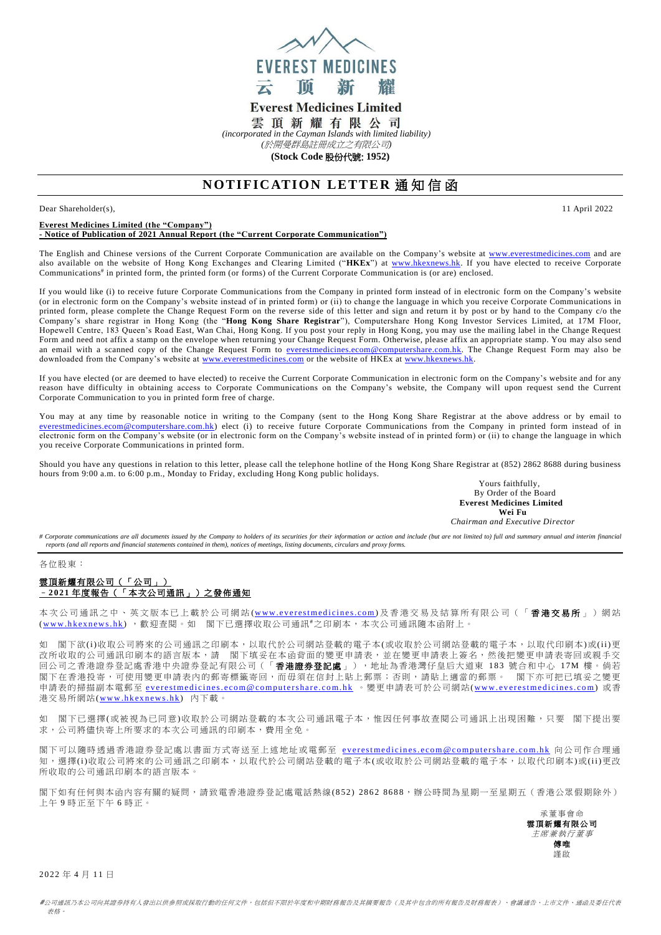

# **Everest Medicines Limited**

雲頂新耀有限公司

*(incorporated in the Cayman Islands with limited liability)* 

*(*於開曼群島註冊成立之有限公司*)*

**(Stock Code** 股份代號: **1952)**

# **NOTIFICATION LETTER 通知信函**

Dear Shareholder(s), 11 April 2022

### **Everest Medicines Limited (the "Company") - Notice of Publication of 2021 Annual Report (the "Current Corporate Communication")**

The English and Chinese versions of the Current Corporate Communication are available on the Company's website at [www.everestmedicines.com](https://www.everestmedicines.com/) and are also available on the website of Hong Kong Exchanges and Clearing Limited ("**HKEx**") at [www.hkexnews.hk.](http://www.hkexnews.hk/) If you have elected to receive Corporate Communications# in printed form, the printed form (or forms) of the Current Corporate Communication is (or are) enclosed.

If you would like (i) to receive future Corporate Communications from the Company in printed form instead of in electronic form on the Company's website (or in electronic form on the Company's website instead of in printed form) or (ii) to change the language in which you receive Corporate Communications in printed form, please complete the Change Request Form on the reverse side of this letter and sign and return it by post or by hand to the Company c/o the Company's share registrar in Hong Kong (the "**Hong Kong Share Registrar**"), Computershare Hong Kong Investor Services Limited, at 17M Floor, Hopewell Centre, 183 Queen's Road East, Wan Chai, Hong Kong. If you post your reply in Hong Kong, you may use the mailing label in the Change Request Form and need not affix a stamp on the envelope when returning your Change Request Form. Otherwise, please affix an appropriate stamp. You may also send an email with a scanned copy of the Change Request Form to [everestmedicines.ecom@computershare.com.hk.](mailto:everestmedicines.ecom@computershare.com.hk) The Change Request Form may also be downloaded from the Company's website at [www.everestmedicines.com](https://www.everestmedicines.com/) or the website of HKEx a[t www.hkexnews.hk.](http://www.hkexnews.hk/)

If you have elected (or are deemed to have elected) to receive the Current Corporate Communication in electronic form on the Company's website and for any reason have difficulty in obtaining access to Corporate Communications on the Company's website, the Company will upon request send the Current Corporate Communication to you in printed form free of charge.

You may at any time by reasonable notice in writing to the Company (sent to the Hong Kong Share Registrar at the above address or by email to [everestmedicines.ecom@computershare.com.hk\)](mailto:everestmedicines.ecom@computershare.com.hk) elect (i) to receive future Corporate Communications from the Company in printed form instead of in electronic form on the Company's website (or in electronic form on the Company's website instead of in printed form) or (ii) to change the language in which you receive Corporate Communications in printed form.

Should you have any questions in relation to this letter, please call the telephone hotline of the Hong Kong Share Registrar at (852) 2862 8688 during business hours from 9:00 a.m. to 6:00 p.m., Monday to Friday, excluding Hong Kong public holidays.

Yours faithfully, By Order of the Board **Everest Medicines Limited Wei Fu**

*Chairman and Executive Director*

# Corporate communications are all documents issued by the Company to holders of its securities for their information or action and include (but are not limited to) full and summary annual and interim financial *reports (and all reports and financial statements contained in them), notices of meetings, listing documents, circulars and proxy forms.*

各位股東:

## 雲頂新耀有限公司(「公司」) –**2 021** 年度報告(「本次公司通訊」)之發佈通知

本次公司通訊之中、英文版本已上載於公司網站(www.everestmedicines.com)及香港交易及結算所有限公司(「**香港交易所**」)網站 (www.hkexnews.hk), 歡迎查閱。如 閣下已選擇收取公司通訊#之印刷本,本次公司通訊隨本函附上。

如 閣下欲(i)收取公司將來的公司通訊之印刷本,以取代於公司網站登載的電子本(或收取於公司網站登載的電子本,以取代印刷本)或(ii)更 改所收取的公司通訊印刷本的語言版本,請 閣下填妥在本函背面的變更申請表,並在變更申請表上簽名,然後把變更申請表寄回或親手交 回公司之香港證券登記處香港中央證券登記有限公司(「香港證券登記處」),地址為香港灣仔皇后大道東 183 號合和中心 1 7M 樓。倘若 閣下在香港投寄,可使用變更申請表內的郵寄標籤寄回,而毋須在信封上貼上郵票;否則,請貼上適當的郵票。 閣下亦可把已填妥之變更 申請表的掃描副本電郵至 everestmedicines.ecom@computershare.com.hk 。變更申請表可於公司網站(www.everestmedicines.com) 或香 港交易所網站(www.hkexnews.hk) 內下載。

如 閣下已選擇(或被視為已同意)收取於公司網站登載的本次公司通訊電子本,惟因任何事故查閱公司通訊上出現困難,只要 閣下提出要 求,公司將儘快寄上所要求的本次公司通訊的印刷本,費用全免。

閣下可以隨時透過香港證券登記處以書面方式寄送至上述地址或電郵至 everestmedicines.ecom@computershare.com.hk 向公司作合理通 知,選擇(i)收取公司將來的公司通訊之印刷本,以取代於公司網站登載的電子本(或收取於公司網站登載的電子本,以取代印刷本)或(ii)更改 所收取的公司通訊印刷本的語言版本。

閣下如有任何與本函內容有關的疑問,請致電香港證券登記處電話熱線( 8 52 ) 28 6 2 86 8 8,辦公時間為星期一至星期五(香港公眾假期除外) 上午 9 時正至下午 6 時正。

承董事會命 雲頂新耀有限公司 主席兼執行董事 傅唯 謹啟

2 0 22 年 4 月 11 日